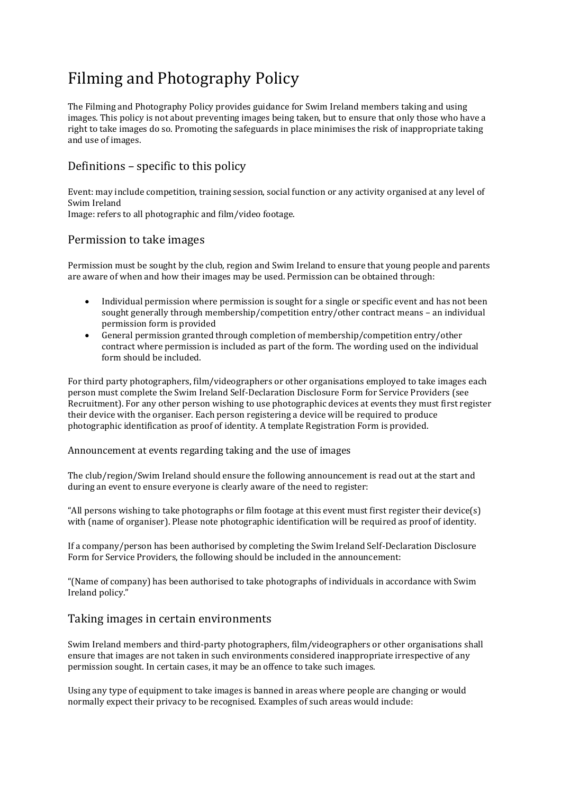# Filming and Photography Policy

The Filming and Photography Policy provides guidance for Swim Ireland members taking and using images. This policy is not about preventing images being taken, but to ensure that only those who have a right to take images do so. Promoting the safeguards in place minimises the risk of inappropriate taking and use of images.

## Definitions – specific to this policy

Event: may include competition, training session, social function or any activity organised at any level of Swim Ireland Image: refers to all photographic and film/video footage.

## Permission to take images

Permission must be sought by the club, region and Swim Ireland to ensure that young people and parents are aware of when and how their images may be used. Permission can be obtained through:

- Individual permission where permission is sought for a single or specific event and has not been sought generally through membership/competition entry/other contract means – an individual permission form is provided
- General permission granted through completion of membership/competition entry/other contract where permission is included as part of the form. The wording used on the individual form should be included.

For third party photographers, film/videographers or other organisations employed to take images each person must complete the Swim Ireland Self-Declaration Disclosure Form for Service Providers (see Recruitment). For any other person wishing to use photographic devices at events they must first register their device with the organiser. Each person registering a device will be required to produce photographic identification as proof of identity. A template Registration Form is provided.

#### Announcement at events regarding taking and the use of images

The club/region/Swim Ireland should ensure the following announcement is read out at the start and during an event to ensure everyone is clearly aware of the need to register:

"All persons wishing to take photographs or film footage at this event must first register their device(s) with (name of organiser). Please note photographic identification will be required as proof of identity.

If a company/person has been authorised by completing the Swim Ireland Self-Declaration Disclosure Form for Service Providers, the following should be included in the announcement:

"(Name of company) has been authorised to take photographs of individuals in accordance with Swim Ireland policy."

## Taking images in certain environments

Swim Ireland members and third-party photographers, film/videographers or other organisations shall ensure that images are not taken in such environments considered inappropriate irrespective of any permission sought. In certain cases, it may be an offence to take such images.

Using any type of equipment to take images is banned in areas where people are changing or would normally expect their privacy to be recognised. Examples of such areas would include: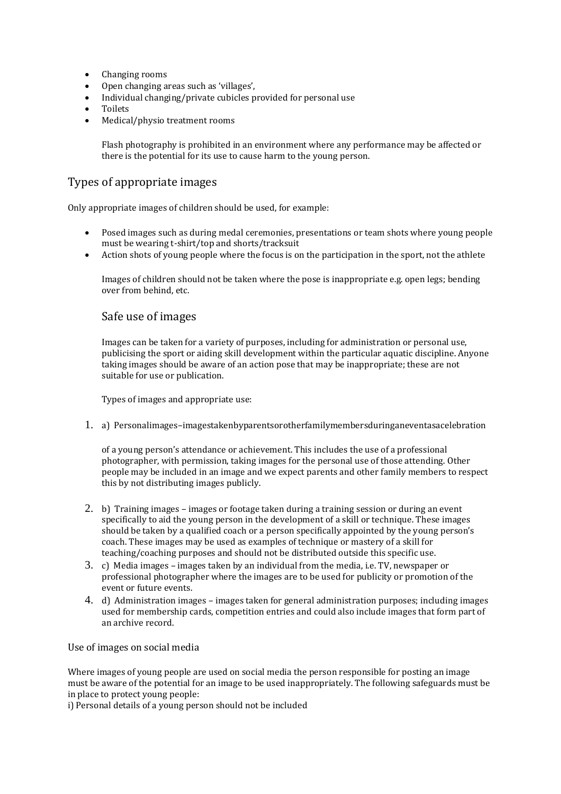- Changing rooms
- Open changing areas such as 'villages',
- Individual changing/private cubicles provided for personal use
- Toilets
- Medical/physio treatment rooms

Flash photography is prohibited in an environment where any performance may be affected or there is the potential for its use to cause harm to the young person.

## Types of appropriate images

Only appropriate images of children should be used, for example:

- Posed images such as during medal ceremonies, presentations or team shots where young people must be wearing t-shirt/top and shorts/tracksuit
- Action shots of young people where the focus is on the participation in the sport, not the athlete

Images of children should not be taken where the pose is inappropriate e.g. open legs; bending over from behind, etc.

#### Safe use of images

Images can be taken for a variety of purposes, including for administration or personal use, publicising the sport or aiding skill development within the particular aquatic discipline. Anyone taking images should be aware of an action pose that may be inappropriate; these are not suitable for use or publication.

Types of images and appropriate use:

1. a) Personalimages–imagestakenbyparentsorotherfamilymembersduringaneventasacelebration

of a young person's attendance or achievement. This includes the use of a professional photographer, with permission, taking images for the personal use of those attending. Other people may be included in an image and we expect parents and other family members to respect this by not distributing images publicly.

- 2. b) Training images images or footage taken during a training session or during an event specifically to aid the young person in the development of a skill or technique. These images should be taken by a qualified coach or a person specifically appointed by the young person's coach. These images may be used as examples of technique or mastery of a skill for teaching/coaching purposes and should not be distributed outside this specific use.
- 3. c) Media images images taken by an individual from the media, i.e. TV, newspaper or professional photographer where the images are to be used for publicity or promotion of the event or future events.
- 4. d) Administration images images taken for general administration purposes; including images used for membership cards, competition entries and could also include images that form part of an archive record.

Use of images on social media

Where images of young people are used on social media the person responsible for posting an image must be aware of the potential for an image to be used inappropriately. The following safeguards must be in place to protect young people:

i) Personal details of a young person should not be included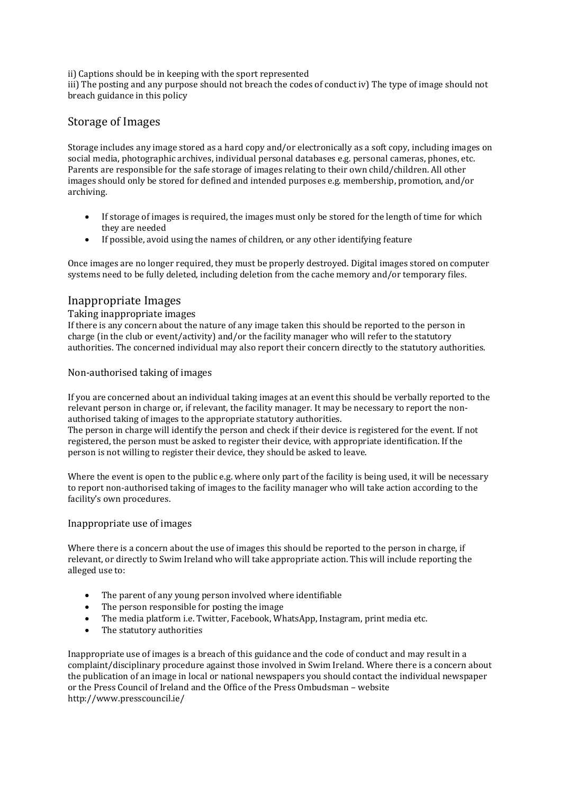ii) Captions should be in keeping with the sport represented

iii) The posting and any purpose should not breach the codes of conduct iv) The type of image should not breach guidance in this policy

## Storage of Images

Storage includes any image stored as a hard copy and/or electronically as a soft copy, including images on social media, photographic archives, individual personal databases e.g. personal cameras, phones, etc. Parents are responsible for the safe storage of images relating to their own child/children. All other images should only be stored for defined and intended purposes e.g. membership, promotion, and/or archiving.

- If storage of images is required, the images must only be stored for the length of time for which they are needed
- If possible, avoid using the names of children, or any other identifying feature

Once images are no longer required, they must be properly destroyed. Digital images stored on computer systems need to be fully deleted, including deletion from the cache memory and/or temporary files.

## Inappropriate Images

#### Taking inappropriate images

If there is any concern about the nature of any image taken this should be reported to the person in charge (in the club or event/activity) and/or the facility manager who will refer to the statutory authorities. The concerned individual may also report their concern directly to the statutory authorities.

#### Non-authorised taking of images

If you are concerned about an individual taking images at an event this should be verbally reported to the relevant person in charge or, if relevant, the facility manager. It may be necessary to report the nonauthorised taking of images to the appropriate statutory authorities.

The person in charge will identify the person and check if their device is registered for the event. If not registered, the person must be asked to register their device, with appropriate identification. If the person is not willing to register their device, they should be asked to leave.

Where the event is open to the public e.g. where only part of the facility is being used, it will be necessary to report non-authorised taking of images to the facility manager who will take action according to the facility's own procedures.

#### Inappropriate use of images

Where there is a concern about the use of images this should be reported to the person in charge, if relevant, or directly to Swim Ireland who will take appropriate action. This will include reporting the alleged use to:

- The parent of any young person involved where identifiable
- The person responsible for posting the image
- The media platform i.e. Twitter, Facebook, WhatsApp, Instagram, print media etc.
- The statutory authorities

Inappropriate use of images is a breach of this guidance and the code of conduct and may result in a complaint/disciplinary procedure against those involved in Swim Ireland. Where there is a concern about the publication of an image in local or national newspapers you should contact the individual newspaper or the Press Council of Ireland and the Office of the Press Ombudsman – website http://www.presscouncil.ie/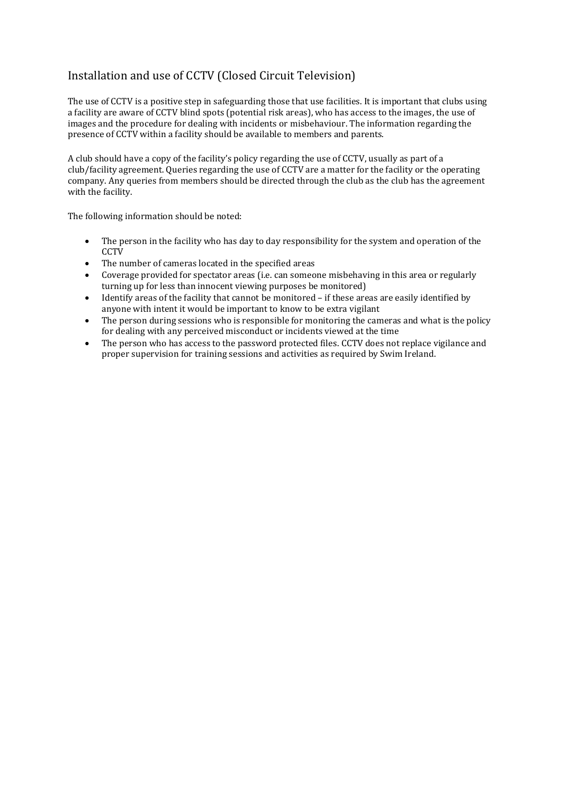# Installation and use of CCTV (Closed Circuit Television)

The use of CCTV is a positive step in safeguarding those that use facilities. It is important that clubs using a facility are aware of CCTV blind spots (potential risk areas), who has access to the images, the use of images and the procedure for dealing with incidents or misbehaviour. The information regarding the presence of CCTV within a facility should be available to members and parents.

A club should have a copy of the facility's policy regarding the use of CCTV, usually as part of a club/facility agreement. Queries regarding the use of CCTV are a matter for the facility or the operating company. Any queries from members should be directed through the club as the club has the agreement with the facility.

The following information should be noted:

- The person in the facility who has day to day responsibility for the system and operation of the **CCTV**
- The number of cameras located in the specified areas
- Coverage provided for spectator areas (i.e. can someone misbehaving in this area or regularly turning up for less than innocent viewing purposes be monitored)
- Identify areas of the facility that cannot be monitored if these areas are easily identified by anyone with intent it would be important to know to be extra vigilant
- The person during sessions who is responsible for monitoring the cameras and what is the policy for dealing with any perceived misconduct or incidents viewed at the time
- The person who has access to the password protected files. CCTV does not replace vigilance and proper supervision for training sessions and activities as required by Swim Ireland.